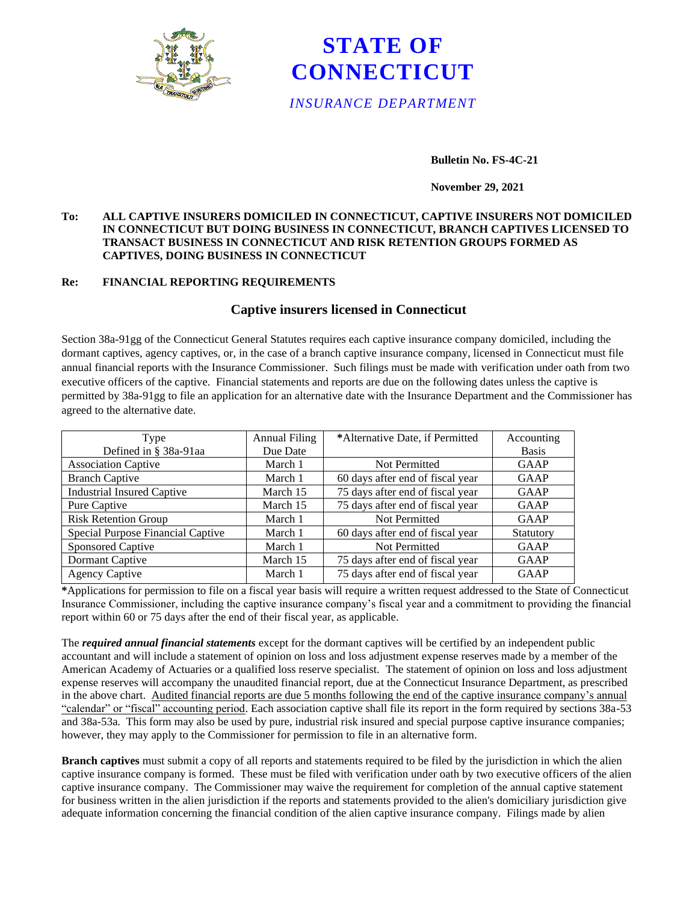



### **Bulletin No. FS-4C-21**

### **November 29, 2021**

### **To: ALL CAPTIVE INSURERS DOMICILED IN CONNECTICUT, CAPTIVE INSURERS NOT DOMICILED IN CONNECTICUT BUT DOING BUSINESS IN CONNECTICUT, BRANCH CAPTIVES LICENSED TO TRANSACT BUSINESS IN CONNECTICUT AND RISK RETENTION GROUPS FORMED AS CAPTIVES, DOING BUSINESS IN CONNECTICUT**

### **Re: FINANCIAL REPORTING REQUIREMENTS**

# **Captive insurers licensed in Connecticut**

Section 38a-91gg of the Connecticut General Statutes requires each captive insurance company domiciled, including the dormant captives, agency captives, or, in the case of a branch captive insurance company, licensed in Connecticut must file annual financial reports with the Insurance Commissioner. Such filings must be made with verification under oath from two executive officers of the captive. Financial statements and reports are due on the following dates unless the captive is permitted by 38a-91gg to file an application for an alternative date with the Insurance Department and the Commissioner has agreed to the alternative date.

| Type                              | <b>Annual Filing</b> | *Alternative Date, if Permitted  | Accounting   |
|-----------------------------------|----------------------|----------------------------------|--------------|
| Defined in § 38a-91aa             | Due Date             |                                  | <b>Basis</b> |
| <b>Association Captive</b>        | March 1              | Not Permitted                    | <b>GAAP</b>  |
| <b>Branch Captive</b>             | March 1              | 60 days after end of fiscal year | <b>GAAP</b>  |
| <b>Industrial Insured Captive</b> | March 15             | 75 days after end of fiscal year | <b>GAAP</b>  |
| Pure Captive                      | March 15             | 75 days after end of fiscal year | GAAP         |
| <b>Risk Retention Group</b>       | March 1              | Not Permitted                    | <b>GAAP</b>  |
| Special Purpose Financial Captive | March 1              | 60 days after end of fiscal year | Statutory    |
| Sponsored Captive                 | March 1              | Not Permitted                    | <b>GAAP</b>  |
| Dormant Captive                   | March 15             | 75 days after end of fiscal year | GAAP         |
| <b>Agency Captive</b>             | March 1              | 75 days after end of fiscal year | <b>GAAP</b>  |

**\***Applications for permission to file on a fiscal year basis will require a written request addressed to the State of Connecticut Insurance Commissioner, including the captive insurance company's fiscal year and a commitment to providing the financial report within 60 or 75 days after the end of their fiscal year, as applicable.

The *required annual financial statements* except for the dormant captives will be certified by an independent public accountant and will include a statement of opinion on loss and loss adjustment expense reserves made by a member of the American Academy of Actuaries or a qualified loss reserve specialist. The statement of opinion on loss and loss adjustment expense reserves will accompany the unaudited financial report, due at the Connecticut Insurance Department, as prescribed in the above chart. Audited financial reports are due 5 months following the end of the captive insurance company's annual "calendar" or "fiscal" accounting period. Each association captive shall file its report in the form required by sections 38a-53 and 38a-53a. This form may also be used by pure, industrial risk insured and special purpose captive insurance companies; however, they may apply to the Commissioner for permission to file in an alternative form.

**Branch captives** must submit a copy of all reports and statements required to be filed by the jurisdiction in which the alien captive insurance company is formed. These must be filed with verification under oath by two executive officers of the alien captive insurance company. The Commissioner may waive the requirement for completion of the annual captive statement for business written in the alien jurisdiction if the reports and statements provided to the alien's domiciliary jurisdiction give adequate information concerning the financial condition of the alien captive insurance company. Filings made by alien